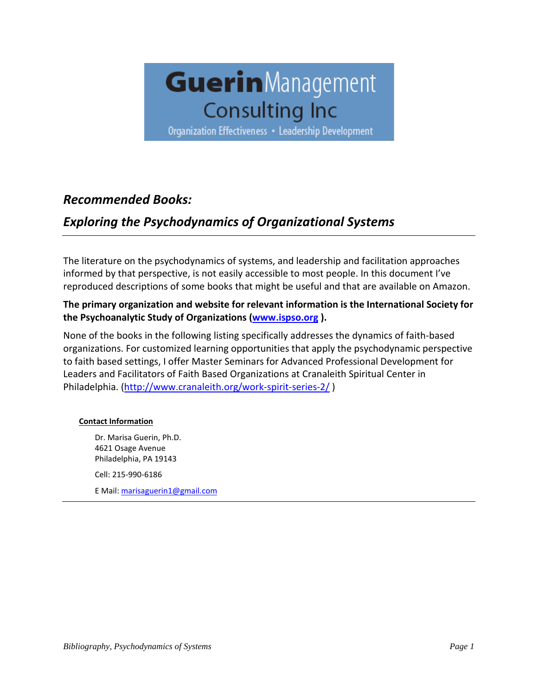

Organization Effectiveness • Leadership Development

## *Recommended Books:*

# *Exploring the Psychodynamics of Organizational Systems*

The literature on the psychodynamics of systems, and leadership and facilitation approaches informed by that perspective, is not easily accessible to most people. In this document I've reproduced descriptions of some books that might be useful and that are available on Amazon.

### **The primary organization and website for relevant information is the International Society for the Psychoanalytic Study of Organizations [\(www.ispso.org](http://www.ispso.org/) ).**

None of the books in the following listing specifically addresses the dynamics of faith-based organizations. For customized learning opportunities that apply the psychodynamic perspective to faith based settings, I offer Master Seminars for Advanced Professional Development for Leaders and Facilitators of Faith Based Organizations at Cranaleith Spiritual Center in Philadelphia. [\(http://www.cranaleith.org/work-spirit-series-2/](http://www.cranaleith.org/work-spirit-series-2/) )

### **Contact Information**

Dr. Marisa Guerin, Ph.D. 4621 Osage Avenue Philadelphia, PA 19143 Cell: 215-990-6186 E Mail: [marisaguerin1@gmail.com](mailto:marisaguerin1@gmail.com)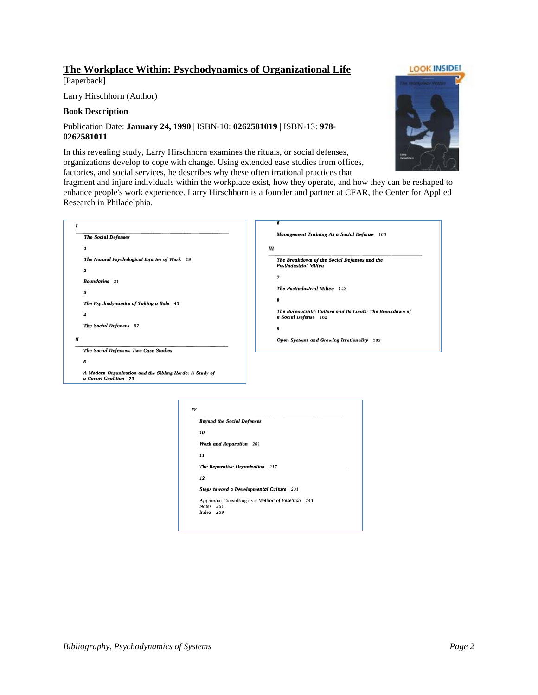### **The Workplace Within: Psychodynamics of Organizational Life**

[Paperback]

Larry Hirschhorn (Author)

#### **Book Description**

#### Publication Date: **January 24, 1990** | ISBN-10: **0262581019** | ISBN-13: **978- 0262581011**

In this revealing study, Larry Hirschhorn examines the rituals, or social defenses, organizations develop to cope with change. Using extended ease studies from offices, factories, and social services, he describes why these often irrational practices that

fragment and injure individuals within the workplace exist, how they operate, and how they can be reshaped to enhance people's work experience. Larry Hirschhorn is a founder and partner at CFAR, the Center for Applied Research in Philadelphia.

|   |                                                                                  | 6                                                                                 |
|---|----------------------------------------------------------------------------------|-----------------------------------------------------------------------------------|
|   | <b>The Social Defenses</b>                                                       | <b>Management Training As a Social Defense</b> 106                                |
|   | 1                                                                                | Ш                                                                                 |
|   | The Normal Psychological Injuries of Work 19                                     | The Breakdown of the Social Defenses and the<br><b>Postindustrial Milieu</b>      |
|   | 2                                                                                |                                                                                   |
|   | <b>Boundaries</b> 31                                                             | 7                                                                                 |
|   | 3                                                                                | The Postindustrial Milieu 143                                                     |
|   | The Psychodynamics of Taking a Role 40                                           | 8                                                                                 |
|   | 4                                                                                | The Bureaucratic Culture and Its Limits: The Breakdown of<br>a Social Defense 162 |
|   | The Social Defenses 57                                                           | 9                                                                                 |
| П |                                                                                  | <b>Open Systems and Growing Irrationality</b> 182                                 |
|   | The Social Defenses: Two Case Studies                                            |                                                                                   |
|   | 5                                                                                |                                                                                   |
|   | A Modern Organization and the Sibling Horde: A Study of<br>a Covert Coalition 73 |                                                                                   |
|   |                                                                                  |                                                                                   |

|           | <b>Beyond the Social Defenses</b>                |
|-----------|--------------------------------------------------|
| 10        |                                                  |
|           | <b>Work and Reparation</b> 201                   |
| 11        |                                                  |
|           | The Reparative Organization 217                  |
| 12        |                                                  |
|           | Steps toward a Developmental Culture 231         |
|           | Appendix: Consulting as a Method of Research 243 |
| Notes 251 |                                                  |
| Index 259 |                                                  |

**LOOK INSIDE!** 

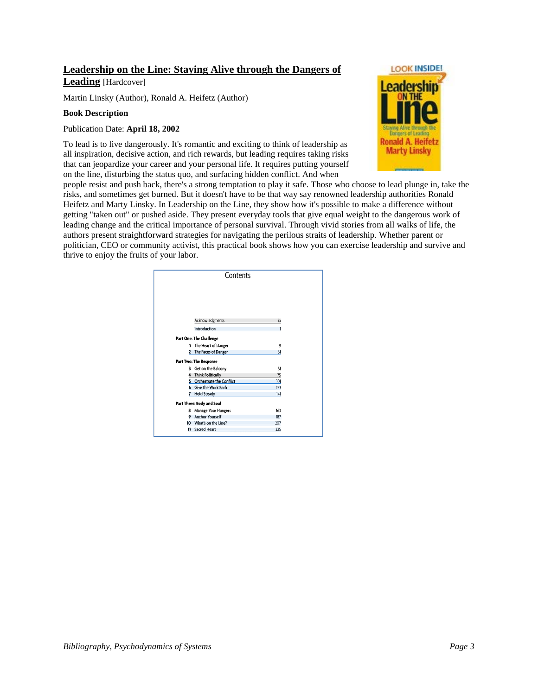# **Leadership on the Line: Staying Alive through the Dangers of**

**Leading** [Hardcover]

Martin Linsky (Author), Ronald A. Heifetz (Author)

#### **Book Description**

### Publication Date: **April 18, 2002**

To lead is to live dangerously. It's romantic and exciting to think of leadership as all inspiration, decisive action, and rich rewards, but leading requires taking risks that can jeopardize your career and your personal life. It requires putting yourself on the line, disturbing the status quo, and surfacing hidden conflict. And when



people resist and push back, there's a strong temptation to play it safe. Those who choose to lead plunge in, take the risks, and sometimes get burned. But it doesn't have to be that way say renowned leadership authorities Ronald Heifetz and Marty Linsky. In Leadership on the Line, they show how it's possible to make a difference without getting "taken out" or pushed aside. They present everyday tools that give equal weight to the dangerous work of leading change and the critical importance of personal survival. Through vivid stories from all walks of life, the authors present straightforward strategies for navigating the perilous straits of leadership. Whether parent or politician, CEO or community activist, this practical book shows how you can exercise leadership and survive and thrive to enjoy the fruits of your labor.

|    | Contents                        |     |  |
|----|---------------------------------|-----|--|
|    |                                 |     |  |
|    |                                 |     |  |
|    |                                 |     |  |
|    |                                 |     |  |
|    |                                 |     |  |
|    | Acknowledgments                 | ix  |  |
|    | <b>Introduction</b>             |     |  |
|    | Part One: The Challenge         |     |  |
| ٦  | The Heart of Danger             | 9   |  |
| 2  | The Faces of Danger             | 31  |  |
|    |                                 |     |  |
|    | Part Two: The Response          |     |  |
| 3  | Get on the Balcony              | 51  |  |
| 4  | <b>Think Politically</b>        | 75  |  |
| 4  | <b>Orchestrate the Conflict</b> | 101 |  |
| 6  | <b>Give the Work Back</b>       | 123 |  |
|    | <b>Hold Steady</b>              | 4   |  |
|    | Part Three: Body and Soul       |     |  |
| 8  | <b>Manage Your Hungers</b>      | 163 |  |
| 9  | <b>Anchor Yourself</b>          | 187 |  |
| 10 | What's on the Line?             | 207 |  |
|    | <b>11 Sacred Heart</b>          | 225 |  |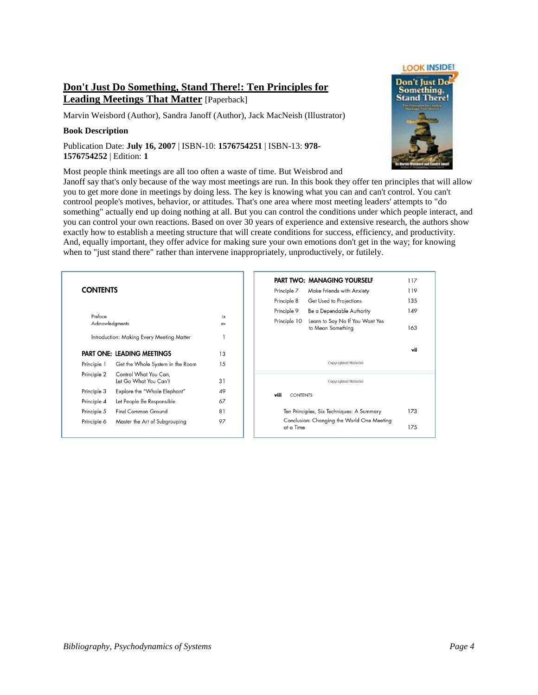### **Don't Just Do Something, Stand There!: Ten Principles for Leading Meetings That Matter** [Paperback]

Marvin Weisbord (Author), Sandra Janoff (Author), Jack MacNeish (Illustrator)

#### **Book Description**

Publication Date: **July 16, 2007** | ISBN-10: **1576754251** | ISBN-13: **978- 1576754252** | Edition: **1**

Most people think meetings are all too often a waste of time. But Weisbrod and



Janoff say that's only because of the way most meetings are run. In this book they offer ten principles that will allow you to get more done in meetings by doing less. The key is knowing what you can and can't control. You can't controol people's motives, behavior, or attitudes. That's one area where most meeting leaders' attempts to "do something" actually end up doing nothing at all. But you can control the conditions under which people interact, and you can control your own reactions. Based on over 30 years of experience and extensive research, the authors show exactly how to establish a meeting structure that will create conditions for success, efficiency, and productivity. And, equally important, they offer advice for making sure your own emotions don't get in the way; for knowing when to "just stand there" rather than intervene inappropriately, unproductively, or futilely.

### **CONTENTS**

| Preface                                   | ix                                |    |  |  |
|-------------------------------------------|-----------------------------------|----|--|--|
| Acknowledgments                           | XV                                |    |  |  |
| Introduction: Making Every Meeting Matter |                                   |    |  |  |
|                                           | <b>PART ONE: LEADING MEETINGS</b> | 13 |  |  |
| Principle 1                               | Get the Whole System in the Room  | 15 |  |  |
| Principle 2                               | Control What You Can,             |    |  |  |
|                                           | Let Go What You Can't             | 31 |  |  |
| Principle 3                               | Explore the "Whole Elephant"      | 49 |  |  |
| Principle 4                               | Let People Be Responsible         | 67 |  |  |
| Principle 5                               | Find Common Ground                | 81 |  |  |
| Principle 6                               | Master the Art of Subgrouping     | 97 |  |  |
|                                           |                                   |    |  |  |

|                                           | <b>PART TWO: MANAGING YOURSELF</b>                   | 117 |
|-------------------------------------------|------------------------------------------------------|-----|
| Principle 7                               | Make Friends with Anxiety                            | 119 |
| Principle 8                               | Get Used to Projections                              | 135 |
| Principle 9                               | Be a Dependable Authority                            | 149 |
| Principle 10                              | Learn to Say No If You Want Yes<br>to Mean Something | 163 |
|                                           |                                                      | vii |
|                                           | <b>Copyrighted Material</b>                          |     |
|                                           | <b>Copyrighted Material</b>                          |     |
| viii<br><b>CONTENTS</b>                   |                                                      |     |
| Ten Principles, Six Techniques: A Summary |                                                      | 173 |
| at a Time                                 | Conclusion: Changing the World One Meeting           | 175 |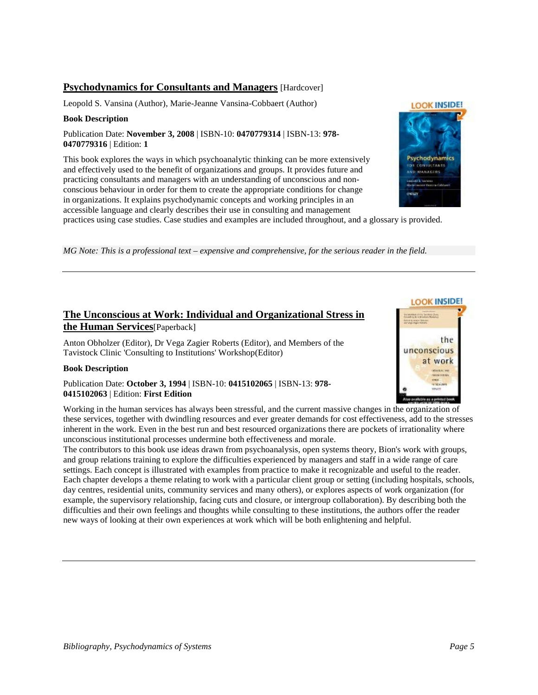### **Psychodynamics for Consultants and Managers** [Hardcover]

Leopold S. Vansina (Author), Marie-Jeanne Vansina-Cobbaert (Author)

#### **Book Description**

Publication Date: **November 3, 2008** | ISBN-10: **0470779314** | ISBN-13: **978- 0470779316** | Edition: **1**

This book explores the ways in which psychoanalytic thinking can be more extensively and effectively used to the benefit of organizations and groups. It provides future and practicing consultants and managers with an understanding of unconscious and nonconscious behaviour in order for them to create the appropriate conditions for change in organizations. It explains psychodynamic concepts and working principles in an accessible language and clearly describes their use in consulting and management

Psychodynan

**LOOK INSIDE!** 

practices using case studies. Case studies and examples are included throughout, and a glossary is provided.

*MG Note: This is a professional text – expensive and comprehensive, for the serious reader in the field.*

### **The Unconscious at Work: Individual and Organizational Stress in the Human Services**[Paperback]

[Anton Obholzer](http://www.amazon.com/s/ref=ntt_athr_dp_sr_1?_encoding=UTF8&field-author=Anton%20Obholzer&search-alias=books&sort=relevancerank) (Editor), [Dr Vega Zagier Roberts](http://www.amazon.com/s/ref=ntt_athr_dp_sr_2?_encoding=UTF8&field-author=Dr%20Vega%20Zagier%20Roberts&search-alias=books&sort=relevancerank) (Editor), [and Members of the](http://www.amazon.com/s/ref=ntt_athr_dp_sr_3?_encoding=UTF8&field-author=and%20Members%20of%20the%20Tavistock%20Clinic%20%27Consulting%20to%20Institutions%27%20Workshop&search-alias=books&sort=relevancerank)  [Tavistock Clinic 'Consulting to Institutions' Workshop\(](http://www.amazon.com/s/ref=ntt_athr_dp_sr_3?_encoding=UTF8&field-author=and%20Members%20of%20the%20Tavistock%20Clinic%20%27Consulting%20to%20Institutions%27%20Workshop&search-alias=books&sort=relevancerank)Editor)

#### **Book Description**

#### Publication Date: **October 3, 1994** | ISBN-10: **0415102065** | ISBN-13: **978- 0415102063** | Edition: **First Edition**

Working in the human services has always been stressful, and the current massive changes in the organization of these services, together with dwindling resources and ever greater demands for cost effectiveness, add to the stresses inherent in the work. Even in the best run and best resourced organizations there are pockets of irrationality where unconscious institutional processes undermine both effectiveness and morale.

The contributors to this book use ideas drawn from psychoanalysis, open systems theory, Bion's work with groups, and group relations training to explore the difficulties experienced by managers and staff in a wide range of care settings. Each concept is illustrated with examples from practice to make it recognizable and useful to the reader. Each chapter develops a theme relating to work with a particular client group or setting (including hospitals, schools, day centres, residential units, community services and many others), or explores aspects of work organization (for example, the supervisory relationship, facing cuts and closure, or intergroup collaboration). By describing both the difficulties and their own feelings and thoughts while consulting to these institutions, the authors offer the reader new ways of looking at their own experiences at work which will be both enlightening and helpful.

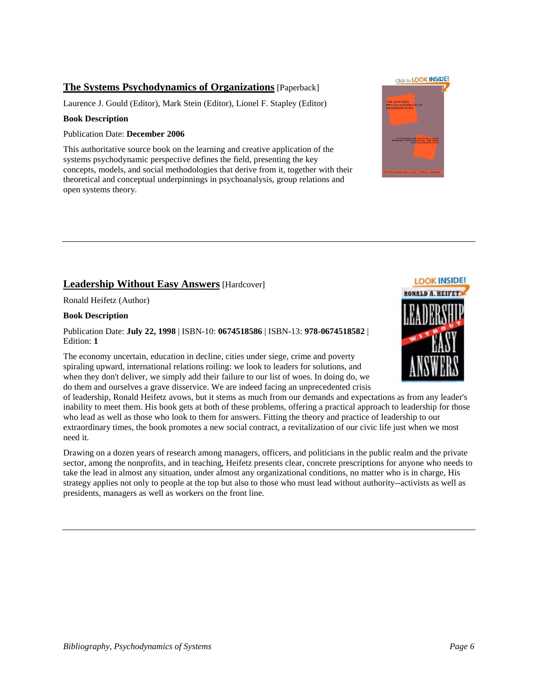### **The Systems Psychodynamics of Organizations** [Paperback]

Laurence J. Gould (Editor), Mark Stein (Editor), Lionel F. Stapley (Editor)

#### **Book Description**

#### Publication Date: **December 2006**

This authoritative source book on the learning and creative application of the systems psychodynamic perspective defines the field, presenting the key concepts, models, and social methodologies that derive from it, together with their theoretical and conceptual underpinnings in psychoanalysis, group relations and open systems theory.

### **Leadership Without Easy Answers** [Hardcover]

Ronald Heifetz (Author)

#### **Book Description**

Publication Date: **July 22, 1998** | ISBN-10: **0674518586** | ISBN-13: **978-0674518582** | Edition: **1**

The economy uncertain, education in decline, cities under siege, crime and poverty spiraling upward, international relations roiling: we look to leaders for solutions, and when they don't deliver, we simply add their failure to our list of woes. In doing do, we do them and ourselves a grave disservice. We are indeed facing an unprecedented crisis

of leadership, Ronald Heifetz avows, but it stems as much from our demands and expectations as from any leader's inability to meet them. His book gets at both of these problems, offering a practical approach to leadership for those who lead as well as those who look to them for answers. Fitting the theory and practice of leadership to our extraordinary times, the book promotes a new social contract, a revitalization of our civic life just when we most need it.

Drawing on a dozen years of research among managers, officers, and politicians in the public realm and the private sector, among the nonprofits, and in teaching, Heifetz presents clear, concrete prescriptions for anyone who needs to take the lead in almost any situation, under almost any organizational conditions, no matter who is in charge, His strategy applies not only to people at the top but also to those who must lead without authority--activists as well as presidents, managers as well as workers on the front line.



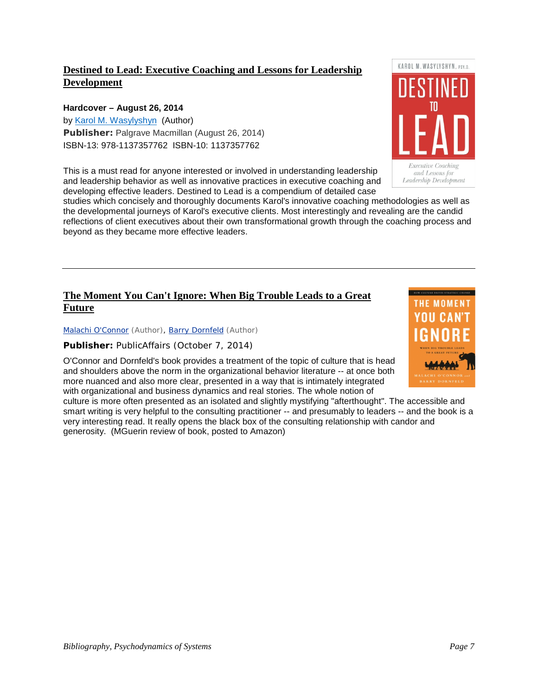### **Destined to Lead: Executive Coaching and Lessons for Leadership Development**

### **Hardcover – August 26, 2014**

by [Karol M. Wasylyshyn](http://www.amazon.com/Karol-M.-Wasylyshyn/e/B004KYQRE0/ref=dp_byline_cont_book_1) (Author) **Publisher:** Palgrave Macmillan (August 26, 2014) ISBN-13: 978-1137357762 ISBN-10: 1137357762

This is a must read for anyone interested or involved in understanding leadership and leadership behavior as well as innovative practices in executive coaching and developing effective leaders. Destined to Lead is a compendium of detailed case

studies which concisely and thoroughly documents Karol's innovative coaching methodologies as well as the developmental journeys of Karol's executive clients. Most interestingly and revealing are the candid reflections of client executives about their own transformational growth through the coaching process and beyond as they became more effective leaders.

### **The Moment You Can't Ignore: When Big Trouble Leads to a Great Future**

[Malachi O'Connor](http://www.amazon.com/Malachi-OConnor/e/B00MT6ECC0/ref=ntt_athr_dp_pel_1) (Author), [Barry Dornfeld](http://www.amazon.com/Barry-Dornfeld/e/B00MT6ECE8/ref=ntt_athr_dp_pel_2) (Author)

#### **Publisher:** PublicAffairs (October 7, 2014)

O'Connor and Dornfeld's book provides a treatment of the topic of culture that is head and shoulders above the norm in the organizational behavior literature -- at once both more nuanced and also more clear, presented in a way that is intimately integrated with organizational and business dynamics and real stories. The whole notion of

culture is more often presented as an isolated and slightly mystifying "afterthought". The accessible and smart writing is very helpful to the consulting practitioner -- and presumably to leaders -- and the book is a very interesting read. It really opens the black box of the consulting relationship with candor and generosity. (MGuerin review of book, posted to Amazon)



KAROL M. WASYLYSHYN. PSY.D.